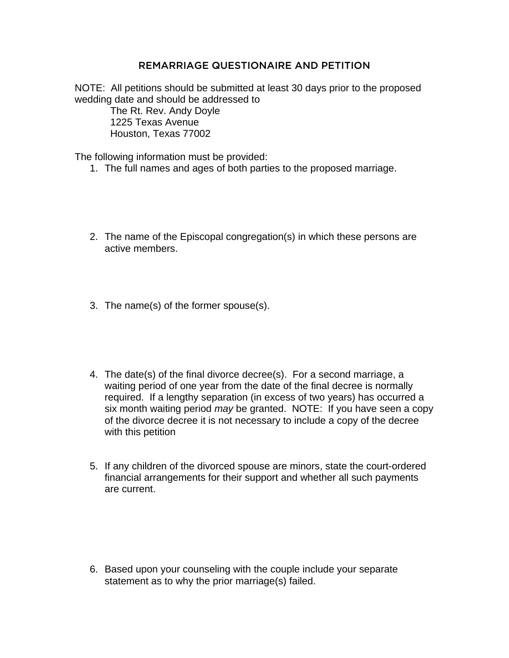## REMARRIAGE QUESTIONAIRE AND PETITION

NOTE: All petitions should be submitted at least 30 days prior to the proposed wedding date and should be addressed to

 The Rt. Rev. Andy Doyle 1225 Texas Avenue Houston, Texas 77002

The following information must be provided:

- 1. The full names and ages of both parties to the proposed marriage.
- 2. The name of the Episcopal congregation(s) in which these persons are active members.
- 3. The name(s) of the former spouse(s).
- 4. The date(s) of the final divorce decree(s). For a second marriage, a waiting period of one year from the date of the final decree is normally required. If a lengthy separation (in excess of two years) has occurred a six month waiting period *may* be granted. NOTE: If you have seen a copy of the divorce decree it is not necessary to include a copy of the decree with this petition
- 5. If any children of the divorced spouse are minors, state the court-ordered financial arrangements for their support and whether all such payments are current.

6. Based upon your counseling with the couple include your separate statement as to why the prior marriage(s) failed.